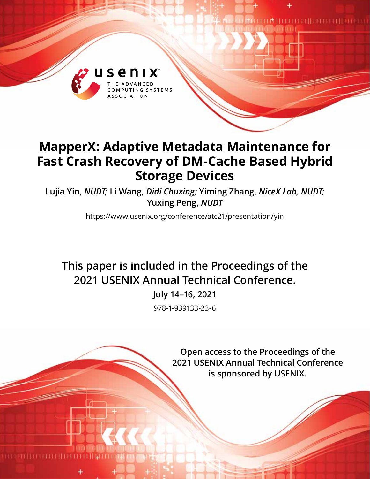

# **MapperX: Adaptive Metadata Maintenance for Fast Crash Recovery of DM-Cache Based Hybrid Storage Devices**

**Lujia Yin,** *NUDT;* **Li Wang,** *Didi Chuxing;* **Yiming Zhang,** *NiceX Lab, NUDT;* **Yuxing Peng,** *NUDT*

https://www.usenix.org/conference/atc21/presentation/yin

**This paper is included in the Proceedings of the 2021 USENIX Annual Technical Conference.**

> **July 14–16, 2021** 978-1-939133-23-6

> > **Open access to the Proceedings of the 2021 USENIX Annual Technical Conference is sponsored by USENIX.**

**TELANIELI ELETTIELE LEITEILEETTI**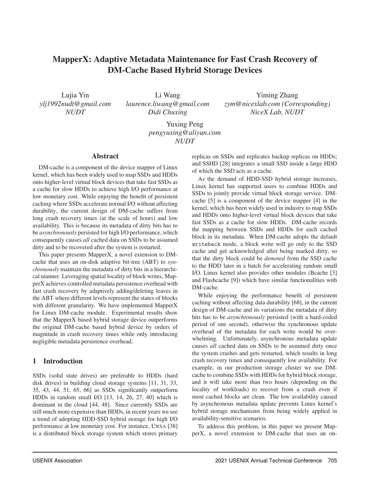## MapperX: Adaptive Metadata Maintenance for Fast Crash Recovery of DM-Cache Based Hybrid Storage Devices

Lujia Yin *ylj1992nudt@gmail.com NUDT*

Li Wang *laurence.liwang@gmail.com Didi Chuxing*

Yiming Zhang *zym@nicexlab.com (Corresponding) NiceX Lab, NUDT*

Yuxing Peng *pengyuxing@aliyun.com NUDT*

#### Abstract

DM-cache is a component of the device mapper of Linux kernel, which has been widely used to map SSDs and HDDs onto higher-level virtual block devices that take fast SSDs as a cache for slow HDDs to achieve high I/O performance at low monetary cost. While enjoying the benefit of persistent caching where SSDs accelerate normal I/O without affecting durability, the current design of DM-cache suffers from long crash recovery times (at the scale of hours) and low availability. This is because its metadata of dirty bits has to be *asynchronously* persisted for high I/O performance, which consequently causes *all* cached data on SSDs to be assumed dirty and to be recovered after the system is restarted.

This paper presents MapperX, a novel extension to DMcache that uses an on-disk adaptive bit-tree (ABT) to *synchronously* maintain the metadata of dirty bits in a hierarchical manner. Leveraging spatial locality of block writes, MapperX achieves controlled metadata persistence overhead with fast crash recovery by adaptively adding/deleting leaves in the ABT where different levels represent the states of blocks with different granularity. We have implemented MapperX for Linux DM-cache module. Experimental results show that the MapperX based hybrid storage device outperforms the original DM-cache based hybrid device by orders of magnitude in crash recovery times while only introducing negligible metadata persistence overhead.

## 1 Introduction

SSDs (solid state drives) are preferable to HDDs (hard disk drives) in building cloud storage systems [11, 31, 33, 35, 43, 44, 51, 65, 66] as SSDs significantly outperform HDDs in random small I/O [13, 14, 26, 27, 40] which is dominant in the cloud [44, 48]. Since currently SSDs are still much more expensive than HDDs, in recent years we see a trend of adopting HDD-SSD hybrid storage for high I/O performance at low monetary cost. For instance, URSA [38] is a distributed block storage system which stores primary

replicas on SSDs and replicates backup replicas on HDDs; and SSHD [28] integrates a small SSD inside a large HDD of which the SSD acts as a cache.

As the demand of HDD-SSD hybrid storage increases, Linux kernel has supported users to combine HDDs and SSDs to jointly provide virtual block storage service. DMcache [5] is a component of the device mapper [4] in the kernel, which has been widely used in industry to map SSDs and HDDs onto higher-level virtual block devices that take fast SSDs as a cache for slow HDDs. DM-cache records the mapping between SSDs and HDDs for each cached block in its metadata. When DM-cache adopts the default writeback mode, a block write will go only to the SSD cache and get acknowledged after being marked dirty, so that the dirty block could be *demoted* from the SSD cache to the HDD later in a batch for accelerating random small I/O. Linux kernel also provides other modules (Bcache [3] and Flashcache [9]) which have similar functionalities with DM-cache.

While enjoying the performance benefit of persistent caching without affecting data durability [68], in the current design of DM-cache and its variations the metadata of dirty bits has to be *asynchronously* persisted (with a hard-coded period of one second), otherwise the synchronous update overhead of the metadata for each write would be overwhelming. Unfortunately, asynchronous metadata update causes *all* cached data on SSDs to be assumed dirty once the system crashes and gets restarted, which results in long crash recovery times and consequently low availability. For example, in our production storage cluster we use DMcache to combine SSDs with HDDs for hybrid block storage, and it will take more than two hours (depending on the locality of workloads) to recover from a crash even if most cached blocks are clean. The low availability caused by asynchronous metadata update prevents Linux kernel's hybrid storage mechanisms from being widely applied in availability-sensitive scenarios.

To address this problem, in this paper we present MapperX, a novel extension to DM-cache that uses an on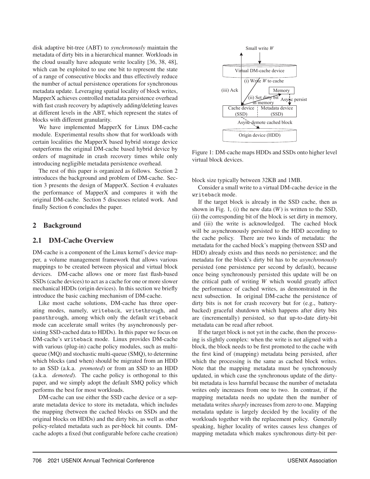disk adaptive bit-tree (ABT) to *synchronously* maintain the metadata of dirty bits in a hierarchical manner. Workloads in the cloud usually have adequate write locality [36, 38, 48], which can be exploited to use one bit to represent the state of a range of consecutive blocks and thus effectively reduce the number of actual persistence operations for synchronous metadata update. Leveraging spatial locality of block writes, MapperX achieves controlled metadata persistence overhead with fast crash recovery by adaptively adding/deleting leaves at different levels in the ABT, which represent the states of blocks with different granularity.

We have implemented MapperX for Linux DM-cache module. Experimental results show that for workloads with certain localities the MapperX based hybrid storage device outperforms the original DM-cache based hybrid device by orders of magnitude in crash recovery times while only introducing negligible metadata persistence overhead.

The rest of this paper is organized as follows. Section 2 introduces the background and problem of DM-cache. Section 3 presents the design of MapperX. Section 4 evaluates the performance of MapperX and compares it with the original DM-cache. Section 5 discusses related work. And finally Section 6 concludes the paper.

## 2 Background

#### 2.1 DM-Cache Overview

DM-cache is a component of the Linux kernel's device mapper, a volume management framework that allows various mappings to be created between physical and virtual block devices. DM-cache allows one or more fast flash-based SSDs (cache devices) to act as a cache for one or more slower mechanical HDDs (origin devices). In this section we briefly introduce the basic caching mechanism of DM-cache.

Like most cache solutions, DM-cache has three operating modes, namely, writeback, writethrough, and passthrough, among which only the default writeback mode can accelerate small writes (by asynchronously persisting SSD-cached data to HDDs). In this paper we focus on DM-cache's writeback mode. Linux provides DM-cache with various (plug-in) cache policy modules, such as multiqueue (MQ) and stochastic multi-queue (SMQ), to determine which blocks (and when) should be migrated from an HDD to an SSD (a.k.a. *promoted*) or from an SSD to an HDD (a.k.a. *demoted*). The cache policy is orthogonal to this paper, and we simply adopt the default SMQ policy which performs the best for most workloads.

DM-cache can use either the SSD cache device or a separate metadata device to store its metadata, which includes the mapping (between the cached blocks on SSDs and the original blocks on HDDs) and the dirty bits, as well as other policy-related metadata such as per-block hit counts. DMcache adopts a fixed (but configurable before cache creation)



Figure 1: DM-cache maps HDDs and SSDs onto higher level virtual block devices.

block size typically between 32KB and 1MB.

Consider a small write to a virtual DM-cache device in the writeback mode.

If the target block is already in the SSD cache, then as shown in Fig. 1, (i) the new data (*W*) is written to the SSD, (ii) the corresponding bit of the block is set dirty in memory, and (iii) the write is acknowledged. The cached block will be asynchronously persisted to the HDD according to the cache policy. There are two kinds of metadata: the metadata for the cached block's mapping (between SSD and HDD) already exists and thus needs no persistence; and the metadata for the block's dirty bit has to be *asynchronously* persisted (one persistence per second by default), because once being synchronously persisted this update will be on the critical path of writing *W* which would greatly affect the performance of cached writes, as demonstrated in the next subsection. In original DM-cache the persistence of dirty bits is not for crash recovery but for (e.g., batterybacked) graceful shutdown which happens after dirty bits are (incrementally) persisted, so that up-to-date dirty-bit metadata can be read after reboot.

If the target block is not yet in the cache, then the processing is slightly complex: when the write is not aligned with a block, the block needs to be first promoted to the cache with the first kind of (mapping) metadata being persisted, after which the processing is the same as cached block writes. Note that the mapping metadata must be synchronously updated, in which case the synchronous update of the dirtybit metadata is less harmful because the number of metadata writes only increases from one to two. In contrast, if the mapping metadata needs no update then the number of metadata writes*sharply* increases from zero to one. Mapping metadata update is largely decided by the locality of the workloads together with the replacement policy. Generally speaking, higher locality of writes causes less changes of mapping metadata which makes synchronous dirty-bit per-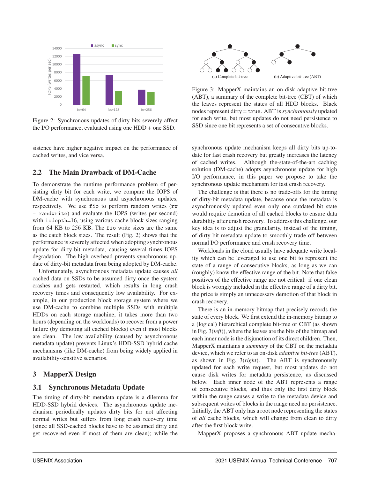

Figure 2: Synchronous updates of dirty bits severely affect the I/O performance, evaluated using one HDD + one SSD.

sistence have higher negative impact on the performance of cached writes, and vice versa.

## 2.2 The Main Drawback of DM-Cache

To demonstrate the runtime performance problem of persisting dirty bit for each write, we compare the IOPS of DM-cache with synchronous and asynchronous updates, respectively. We use fio to perform random writes (rw = randwrite) and evaluate the IOPS (writes per second) with iodepth=16, using various cache block sizes ranging from 64 KB to 256 KB. The fio write sizes are the same as the catch block sizes. The result (Fig. 2) shows that the performance is severely affected when adopting synchronous update for dirty-bit metadata, causing several times IOPS degradation. The high overhead prevents synchronous update of dirty-bit metadata from being adopted by DM-cache.

Unfortunately, asynchronous metadata update causes *all* cached data on SSDs to be assumed dirty once the system crashes and gets restarted, which results in long crash recovery times and consequently low availability. For example, in our production block storage system where we use DM-cache to combine multiple SSDs with multiple HDDs on each storage machine, it takes more than two hours (depending on the workloads) to recover from a power failure (by demoting all cached blocks) even if most blocks are clean. The low availability (caused by asynchronous metadata update) prevents Linux's HDD-SSD hybrid cache mechanisms (like DM-cache) from being widely applied in availability-sensitive scenarios.

## 3 MapperX Design

## 3.1 Synchronous Metadata Update

The timing of dirty-bit metadata update is a dilemma for HDD-SSD hybrid devices. The asynchronous update mechanism periodically updates dirty bits for not affecting normal writes but suffers from long crash recovery time (since all SSD-cached blocks have to be assumed dirty and get recovered even if most of them are clean); while the



Figure 3: MapperX maintains an on-disk adaptive bit-tree (ABT), a summary of the complete bit-tree (CBT) of which the leaves represent the states of all HDD blocks. Black nodes represent dirty = true. ABT is *synchronously* updated for each write, but most updates do not need persistence to SSD since one bit represents a set of consecutive blocks.

synchronous update mechanism keeps all dirty bits up-todate for fast crash recovery but greatly increases the latency of cached writes. Although the-state-of-the-art caching solution (DM-cache) adopts asynchronous update for high I/O performance, in this paper we propose to take the synchronous update mechanism for fast crash recovery.

The challenge is that there is no trade-offs for the timing of dirty-bit metadata update, because once the metadata is asynchronously updated even only one outdated bit state would require demotion of all cached blocks to ensure data durability after crash recovery. To address this challenge, our key idea is to adjust the granularity, instead of the timing, of dirty-bit metadata update to smoothly trade off between normal I/O performance and crash recovery time.

Workloads in the cloud usually have adequate write locality which can be leveraged to use one bit to represent the state of a range of consecutive blocks, as long as we can (roughly) know the effective range of the bit. Note that false positives of the effective range are not critical: if one clean block is wrongly included in the effective range of a dirty bit, the price is simply an unnecessary demotion of that block in crash recovery.

There is an in-memory bitmap that precisely records the state of every block. We first extend the in-memory bitmap to a (logical) hierarchical complete bit-tree or CBT (as shown in Fig. 3(*left*)), where the leaves are the bits of the bitmap and each inner node is the disjunction of its direct children. Then, MapperX maintains a *summary* of the CBT on the metadata device, which we refer to as on-disk *adaptive bit-tree* (ABT), as shown in Fig. 3(*right*). The ABT is synchronously updated for each write request, but most updates do not cause disk writes for metadata persistence, as discussed below. Each inner node of the ABT represents a range of consecutive blocks, and thus only the first dirty block within the range causes a write to the metadata device and subsequent writes of blocks in the range need no persistence. Initially, the ABT only has a root node representing the states of *all* cache blocks, which will change from clean to dirty after the first block write.

MapperX proposes a synchronous ABT update mecha-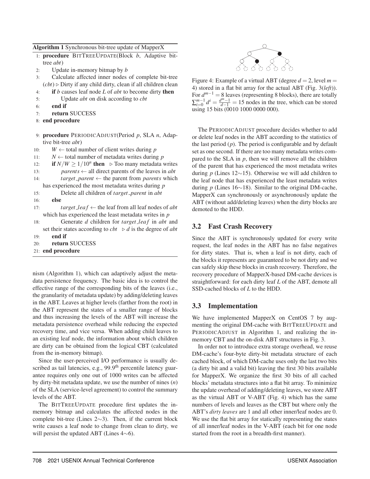| Algorithm 1 Synchronous bit-tree update of MapperX |                                                                                |
|----------------------------------------------------|--------------------------------------------------------------------------------|
|                                                    | 1: procedure BITTREEUPDATE(Block b, Adaptive bit-                              |
|                                                    | tree <i>abt</i> )                                                              |
| 2:                                                 | Update in-memory bitmap by b                                                   |
| 3:                                                 | Calculate affected inner nodes of complete bit-tree                            |
|                                                    | $(cbt)$ $\triangleright$ Dirty if any child dirty, clean if all children clean |
| 4:                                                 | if $b$ causes leaf node $L$ of $abt$ to become dirty then                      |
| 5:                                                 | Update <i>abt</i> on disk according to <i>cbt</i>                              |
| 6:                                                 | end if                                                                         |
| 7:                                                 | return SUCCESS                                                                 |
|                                                    | 8: end procedure                                                               |
|                                                    | 9: procedure PERIODICADJUST(Period $p$ , SLA $n$ , Adap-                       |
|                                                    | tive bit-tree <i>abt</i> )                                                     |
| 10:                                                | $W \leftarrow$ total number of client writes during p                          |
| 11:                                                | $N \leftarrow$ total number of metadata writes during p                        |
| 12:                                                | if $N/W \ge 1/10^n$ then $\triangleright$ Too many metadata writes             |
| 13:                                                | <i>parents</i> $\leftarrow$ all direct parents of the leaves in <i>abt</i>     |
| 14:                                                | $target\_parent \leftarrow$ the parent from <i>parents</i> which               |
|                                                    | has experienced the most metadata writes during $p$                            |
| 15:                                                | Delete all children of <i>target_parent</i> in <i>abt</i>                      |
| 16:                                                | else                                                                           |
| 17:                                                | <i>target leaf</i> $\leftarrow$ the leaf from all leaf nodes of <i>abt</i>     |
|                                                    | which has experienced the least metadata writes in $p$                         |
| 18:                                                | Generate d children for target_leaf in abt and                                 |
|                                                    | set their states according to $cbt \rightarrow d$ is the degree of abt         |
| 19:                                                | end if                                                                         |
| 20:                                                | return SUCCESS                                                                 |
|                                                    | 21: end procedure                                                              |

nism (Algorithm 1), which can adaptively adjust the metadata persistence frequency. The basic idea is to control the effective range of the corresponding bits of the leaves (i.e., the granularity of metadata update) by adding/deleting leaves in the ABT. Leaves at higher levels (farther from the root) in the ABT represent the states of a smaller range of blocks and thus increasing the levels of the ABT will increase the metadata persistence overhead while reducing the expected recovery time, and vice versa. When adding child leaves to an existing leaf node, the information about which children are dirty can be obtained from the logical CBT (calculated from the in-memory bitmap).

Since the user-perceived I/O performance is usually described as tail latencies, e.g., 99.9<sup>th</sup> percentile latency guarantee requires only one out of 1000 writes can be affected by dirty-bit metadata update, we use the number of nines (*n*) of the SLA (service-level agreement) to control the summary levels of the ABT.

The BITTREEUPDATE procedure first updates the inmemory bitmap and calculates the affected nodes in the complete bit-tree (Lines 2∼3). Then, if the current block write causes a leaf node to change from clean to dirty, we will persist the updated ABT (Lines 4∼6).



Figure 4: Example of a virtual ABT (degree  $d = 2$ , level  $m =$ 4) stored in a flat bit array for the actual ABT (Fig. 3(*left*)). For  $d^{m-1} = 8$  leaves (representing 8 blocks), there are totally  $\sum_{i=0}^{m-1} d^i = \frac{d^m-1}{d-1} = 15$  nodes in the tree, which can be stored using 15 bits (0010 1000 0000 000).

The PERIODICADJUST procedure decides whether to add or delete leaf nodes in the ABT according to the statistics of the last period (*p*). The period is configurable and by default set as one second. If there are too many metadata writes compared to the SLA in *p*, then we will remove all the children of the parent that has experienced the most metadata writes during *p* (Lines 12∼15). Otherwise we will add children to the leaf node that has experienced the least metadata writes during *p* (Lines 16∼18). Similar to the original DM-cache, MapperX can synchronously or asynchronously update the ABT (without add/deleting leaves) when the dirty blocks are demoted to the HDD.

## 3.2 Fast Crash Recovery

Since the ABT is synchronously updated for every write request, the leaf nodes in the ABT has no false negatives for dirty states. That is, when a leaf is not dirty, each of the blocks it represents are guaranteed to be not dirty and we can safely skip these blocks in crash recovery. Therefore, the recovery procedure of MapperX-based DM-cache devices is straightforward: for each dirty leaf *L* of the ABT, demote all SSD-cached blocks of *L* to the HDD.

## 3.3 Implementation

We have implemented MapperX on CentOS 7 by augmenting the original DM-cache with BITTREEUPDATE and PERIODICADJUST in Algorithm 1, and realizing the inmemory CBT and the on-disk ABT structures in Fig. 3.

In order not to introduce extra storage overhead, we reuse DM-cache's four-byte dirty-bit metadata structure of each cached block, of which DM-cache uses only the last two bits (a dirty bit and a valid bit) leaving the first 30 bits available for MapperX. We organize the first 30 bits of all cached blocks' metadata structures into a flat bit array. To minimize the update overhead of adding/deleting leaves, we store ABT as the virtual ABT or V-ABT (Fig. 4) which has the same numbers of levels and leaves as the CBT but where only the ABT's *dirty leaves* are 1 and all other inner/leaf nodes are 0. We use the flat bit array for statically representing the states of all inner/leaf nodes in the V-ABT (each bit for one node started from the root in a breadth-first manner).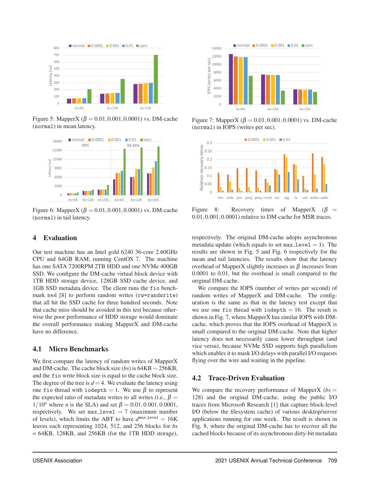

Figure 5: MapperX ( $β = 0.01, 0.001, 0.0001$ ) vs. DM-cache (normal) in mean latency.



Figure 6: MapperX ( $β = 0.01,0.001,0.0001$ ) vs. DM-cache (normal) in tail latency.

## 4 Evaluation

Our test machine has an Intel gold 6240 36-core 2.60GHz CPU and 64GB RAM, running CentOS 7. The machine has one SATA 7200RPM 2TB HDD and one NVMe 400GB SSD. We configure the DM-cache virtual block device with 1TB HDD storage device, 128GB SSD cache device, and 1GB SSD metadata device. The client runs the fio benchmark tool [8] to perform random writes (rw=randwrite) that all hit the SSD cache for three hundred seconds. Note that cache miss should be avoided in this test because otherwise the poor performance of HDD storage would dominate the overall performance making MapperX and DM-cache have no difference.

## 4.1 Micro Benchmarks

We first compare the latency of random writes of MapperX and DM-cache. The cache block size (*bs*) is 64KB ∼ 256KB, and the fio write block size is equal to the cache block size. The degree of the tree is  $d = 4$ . We evaluate the latency using one fio thread with iodepth = 1. We use  $\beta$  to represent the expected ratio of metadata writes to all writes (i.e.,  $\beta$  =  $1/10^n$  where *n* is the SLA) and set  $\beta = 0.01, 0.001, 0.0001$ , respectively. We set  $max\_level = 7$  (maximum number of levels), which limits the ABT to have  $d^{\text{max-level}} = 16K$ leaves each representing 1024, 512, and 256 blocks for *bs*  $= 64KB$ , 128KB, and 256KB (for the 1TB HDD storage),



Figure 7: MapperX ( $β = 0.01, 0.001, 0.0001$ ) vs. DM-cache (normal) in IOPS (writes per sec).



Figure 8: Recovery times of MapperX ( $\beta$  = 0.01,0.001,0.0001) relative to DM-cache for MSR traces.

respectively. The original DM-cache adopts asynchronous metadata update (which equals to set  $max\_level = 1$ ). The results are shown in Fig. 5 and Fig. 6 respectively for the mean and tail latencies. The results show that the latency overhead of MapperX slightly increases as β increases from 0.0001 to 0.01, but the overhead is small compared to the original DM-cache.

We compare the IOPS (number of writes per second) of random writes of MapperX and DM-cache. The configuration is the same as that in the latency test except that we use one fio thread with iodepth  $= 16$ . The result is shown in Fig. 7, where MapperX has similar IOPS with DMcache, which proves that the IOPS overhead of MapperX is small compared to the original DM-cache. Note that higher latency does not necessarily cause lower throughput (and vice versa), because NVMe SSD supports high parallelism which enables it to mask I/O delays with parallel I/O requests flying over the wire and waiting in the pipeline.

## 4.2 Trace-Driven Evaluation

We compare the recovery performance of MapperX ( $bs =$ 128) and the original DM-cache, using the public I/O traces from Microsoft Research [1] that capture block-level I/O (below the filesystem cache) of various desktop/server applications running for one week. The result is shown in Fig. 8, where the original DM-cache has to recover all the cached blocks because of its asynchronous dirty-bit metadata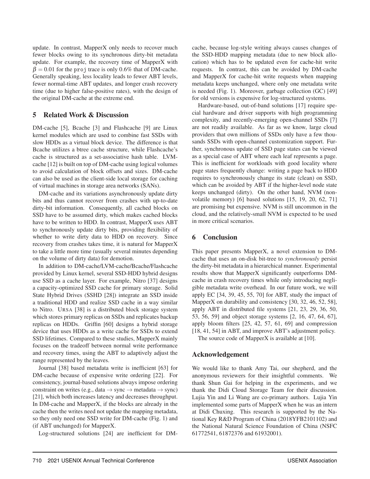update. In contrast, MapperX only needs to recover much fewer blocks owing to its synchronous dirty-bit metadata update. For example, the recovery time of MapperX with  $\beta = 0.01$  for the proj trace is only 0.6% that of DM-cache. Generally speaking, less locality leads to fewer ABT levels, fewer normal-time ABT updates, and longer crash recovery time (due to higher false-positive rates), with the design of the original DM-cache at the extreme end.

## 5 Related Work & Discussion

DM-cache [5], Bcache [3] and Flashcache [9] are Linux kernel modules which are used to combine fast SSDs with slow HDDs as a virtual block device. The difference is that Bcache utilizes a btree cache structure, while Flashcache's cache is structured as a set-associative hash table. LVMcache [12] is built on top of DM-cache using logical volumes to avoid calculation of block offsets and sizes. DM-cache can also be used as the client-side local storage for caching of virtual machines in storage area networks (SANs).

DM-cache and its variations asynchronously update dirty bits and thus cannot recover from crashes with up-to-date dirty-bit information. Consequently, all cached blocks on SSD have to be assumed dirty, which makes cached blocks have to be written to HDD. In contrast, MapperX uses ABT to synchronously update dirty bits, providing flexibility of whether to write dirty data to HDD on recovery. Since recovery from crashes takes time, it is natural for MapperX to take a little more time (usually several minutes depending on the volume of dirty data) for demotion.

In addition to DM-cache/LVM-cache/Bcache/Flashcache provided by Linux kernel, several SSD-HDD hybrid designs use SSD as a cache layer. For example, Nitro [37] designs a capacity-optimized SSD cache for primary storage. Solid State Hybrid Drives (SSHD [28]) integrate an SSD inside a traditional HDD and realize SSD cache in a way similar to Nitro. URSA [38] is a distributed block storage system which stores primary replicas on SSDs and replicates backup replicas on HDDs. Griffin [60] designs a hybrid storage device that uses HDDs as a write cache for SSDs to extend SSD lifetimes. Compared to these studies, MapperX mainly focuses on the tradeoff between normal write performance and recovery times, using the ABT to adaptively adjust the range represented by the leaves.

Journal [38] based metadata write is inefficient [63] for DM-cache because of expensive write ordering [22]. For consistency, journal-based solutions always impose ordering constraint on writes (e.g., data  $\rightarrow$  sync  $\rightarrow$  metadata  $\rightarrow$  sync) [21], which both increases latency and decreases throughput. In DM-cache and MapperX, if the blocks are already in the cache then the writes need not update the mapping metadata, so they only need one SSD write for DM-cache (Fig. 1) and (if ABT unchanged) for MapperX.

Log-structured solutions [24] are inefficient for DM-

cache, because log-style writing always causes changes of the SSD-HDD mapping metadata (due to new block allocation) which has to be updated even for cache-hit write requests. In contrast, this can be avoided by DM-cache and MapperX for cache-hit write requests when mapping metadata keeps unchanged, where only one metadata write is needed (Fig. 1). Moreover, garbage collection (GC) [49] for old versions is expensive for log-structured systems.

Hardware-based, out-of-band solutions [17] require special hardware and driver supports with high programming complexity, and recently-emerging open-channel SSDs [7] are not readily available. As far as we know, large cloud providers that own millions of SSDs only have a few thousands SSDs with open-channel customization support. Further, synchronous update of SSD page states can be viewed as a special case of ABT where each leaf represents a page. This is inefficient for workloads with good locality where page states frequently change: writing a page back to HDD requires to synchronously change its state (clean) on SSD, which can be avoided by ABT if the higher-level node state keeps unchanged (dirty). On the other hand, NVM (nonvolatile memory) [6] based solutions [15, 19, 20, 62, 71] are promising but expensive. NVM is still uncommon in the cloud, and the relatively-small NVM is expected to be used in more critical scenarios.

## 6 Conclusion

This paper presents MapperX, a novel extension to DMcache that uses an on-disk bit-tree to *synchronously* persist the dirty-bit metadata in a hierarchical manner. Experimental results show that MapperX significantly outperforms DMcache in crash recovery times while only introducing negligible metadata write overhead. In our future work, we will apply EC [34, 39, 45, 55, 70] for ABT, study the impact of MapperX on durability and consistency [30, 32, 46, 52, 58], apply ABT in distributed file systems [21, 23, 29, 36, 50, 53, 56, 59] and object storage systems [2, 16, 47, 64, 67], apply bloom filters [25, 42, 57, 61, 69] and compression [18, 41, 54] in ABT, and improve ABT's adjustment policy.

The source code of MapperX is available at [10].

## Acknowledgement

We would like to thank Amy Tai, our shepherd, and the anonymous reviewers for their insightful comments. We thank Shun Gai for helping in the experiments, and we thank the Didi Cloud Storage Team for their discussion. Lujia Yin and Li Wang are co-primary authors. Lujia Yin implemented some parts of MapperX when he was an intern at Didi Chuxing. This research is supported by the National Key R&D Program of China (2018YFB2101102) and the National Natural Science Foundation of China (NSFC 61772541, 61872376 and 61932001).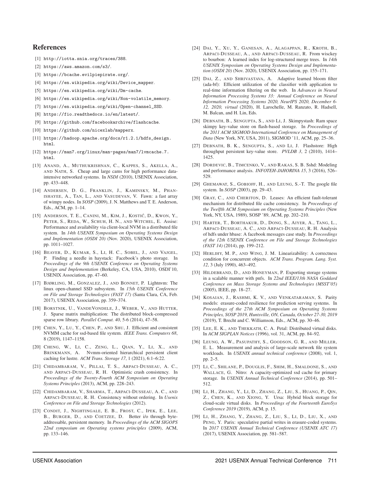#### References

- [1] http://iotta.snia.org/traces/388.
- [2] https://aws.amazon.com/s3/.
- [3] https://bcache.evilpiepirate.org/.
- [4] https://en.wikipedia.org/wiki/Device\_mapper.
- [5] https://en.wikipedia.org/wiki/Dm-cache.
- [6] https://en.wikipedia.org/wiki/Non-volatile\_memory.
- [7] https://en.wikipedia.org/wiki/Open-channel\_SSD.
- [8] https://fio.readthedocs.io/en/latest/.
- [9] https://github.com/facebookarchive/flashcache.
- [10] https://github.com/nicexlab/mapperx.
- [11] https://hadoop.apache.org/docs/r1.2.1/hdfs\_design. html.
- [12] https://man7.org/linux/man-pages/man7/lvmcache.7. html.
- [13] ANAND, A., MUTHUKRISHNAN, C., KAPPES, S., AKELLA, A., AND NATH, S. Cheap and large cams for high performance dataintensive networked systems. In *NSDI* (2010), USENIX Association, pp. 433–448.
- [14] ANDERSEN, D. G., FRANKLIN, J., KAMINSKY, M., PHAN-ISHAYEE, A., TAN, L., AND VASUDEVAN, V. Fawn: a fast array of wimpy nodes. In *SOSP* (2009), J. N. Matthews and T. E. Anderson, Eds., ACM, pp. 1–14.
- [15] ANDERSON, T. E., CANINI, M., KIM, J., KOSTIĆ, D., KWON, Y., PETER, S., REDA, W., SCHUH, H. N., AND WITCHEL, E. Assise: Performance and availability via client-local NVM in a distributed file system. In *14th USENIX Symposium on Operating Systems Design and Implementation (OSDI 20)* (Nov. 2020), USENIX Association, pp. 1011–1027.
- [16] BEAVER, D., KUMAR, S., LI, H. C., SOBEL, J., AND VAJGEL, P. Finding a needle in haystack: Facebook's photo storage. In *Proceedings of the 9th USENIX Conference on Operating Systems Design and Implementation* (Berkeley, CA, USA, 2010), OSDI'10, USENIX Association, pp. 47–60.
- [17] BJØRLING, M., GONZALEZ, J., AND BONNET, P. Lightnvm: The linux open-channel SSD subsystem. In *15th USENIX Conference on File and Storage Technologies (FAST 17)* (Santa Clara, CA, Feb. 2017), USENIX Association, pp. 359–374.
- [18] BORSTNIK, U., VANDEVONDELE, J., WEBER, V., AND HUTTER, J. Sparse matrix multiplication: The distributed block-compressed sparse row library. *Parallel Comput. 40*, 5-6 (2014), 47–58.
- [19] CHEN, Y., LU, Y., CHEN, P., AND SHU, J. Efficient and consistent NVMM cache for ssd-based file system. *IEEE Trans. Computers 68*, 8 (2019), 1147–1158.
- [20] CHENG, W., LI, C., ZENG, L., QIAN, Y., LI, X., AND BRINKMANN, A. Nvmm-oriented hierarchical persistent client caching for lustre. *ACM Trans. Storage 17*, 1 (2021), 6:1–6:22.
- [21] CHIDAMBARAM, V., PILLAI, T. S., ARPACI-DUSSEAU, A. C., AND ARPACI-DUSSEAU, R. H. Optimistic crash consistency. In *Proceedings of the Twenty-Fourth ACM Symposium on Operating Systems Principles* (2013), ACM, pp. 228–243.
- [22] CHIDAMBARAM, V., SHARMA, T., ARPACI-DUSSEAU, A. C., AND ARPACI-DUSSEAU, R. H. Consistency without ordering. In *Usenix Conference on File and Storage Technologies* (2012).
- [23] CONDIT, J., NIGHTINGALE, E. B., FROST, C., IPEK, E., LEE, B., BURGER, D., AND COETZEE, D. Better i/o through byteaddressable, persistent memory. In *Proceedings of the ACM SIGOPS 22nd symposium on Operating systems principles* (2009), ACM, pp. 133–146.
- [24] DAI, Y., XU, Y., GANESAN, A., ALAGAPPAN, R., KROTH, B., ARPACI-DUSSEAU, A., AND ARPACI-DUSSEAU, R. From wisckey to bourbon: A learned index for log-structured merge trees. In *14th USENIX Symposium on Operating Systems Design and Implementation (OSDI 20)* (Nov. 2020), USENIX Association, pp. 155–171.
- [25] DAI, Z., AND SHRIVASTAVA, A. Adaptive learned bloom filter (ada-bf): Efficient utilization of the classifier with application to real-time information filtering on the web. In *Advances in Neural Information Processing Systems 33: Annual Conference on Neural Information Processing Systems 2020, NeurIPS 2020, December 6- 12, 2020, virtual* (2020), H. Larochelle, M. Ranzato, R. Hadsell, M. Balcan, and H. Lin, Eds.
- [26] DEBNATH, B., SENGUPTA, S., AND LI, J. Skimpystash: Ram space skimpy key-value store on flash-based storage. In *Proceedings of the 2011 ACM SIGMOD International Conference on Management of Data* (New York, NY, USA, 2011), SIGMOD '11, ACM, pp. 25–36.
- [27] DEBNATH, B. K., SENGUPTA, S., AND LI, J. Flashstore: High throughput persistent key-value store. *PVLDB 3*, 2 (2010), 1414– 1425.
- [28] DORDEVIC, B., TIMCENKO, V., AND RAKAS, S. B. Sshd: Modeling and performance analysis. *INFOTEH-JAHORINA 15*, 3 (2016), 526– 529.
- [29] GHEMAWAT, S., GOBIOFF, H., AND LEUNG, S.-T. The google file system. In *SOSP* (2003), pp. 29–43.
- [30] GRAY, C., AND CHERITON, D. Leases: An efficient fault-tolerant mechanism for distributed file cache consistency. In *Proceedings of the Twelfth ACM Symposium on Operating Systems Principles* (New York, NY, USA, 1989), SOSP '89, ACM, pp. 202–210.
- [31] HARTER, T., BORTHAKUR, D., DONG, S., AIYER, A., TANG, L., ARPACI-DUSSEAU, A. C., AND ARPACI-DUSSEAU, R. H. Analysis of hdfs under hbase: A facebook messages case study. In *Proceedings of the 12th USENIX Conference on File and Storage Technologies (FAST 14)* (2014), pp. 199–212.
- [32] HERLIHY, M. P., AND WING, J. M. Linearizability: A correctness condition for concurrent objects. *ACM Trans. Program. Lang. Syst. 12*, 3 (July 1990), 463–492.
- [33] HILDEBRAND, D., AND HONEYMAN, P. Exporting storage systems in a scalable manner with pnfs. In *22nd IEEE/13th NASA Goddard Conference on Mass Storage Systems and Technologies (MSST'05)* (2005), IEEE, pp. 18–27.
- [34] KOSAIAN, J., RASHMI, K. V., AND VENKATARAMAN, S. Parity models: erasure-coded resilience for prediction serving systems. In *Proceedings of the 27th ACM Symposium on Operating Systems Principles, SOSP 2019, Huntsville, ON, Canada, October 27-30, 2019* (2019), T. Brecht and C. Williamson, Eds., ACM, pp. 30–46.
- [35] LEE, E. K., AND THEKKATH, C. A. Petal: Distributed virtual disks. In *ACM SIGPLAN Notices* (1996), vol. 31, ACM, pp. 84–92.
- [36] LEUNG, A. W., PASUPATHY, S., GOODSON, G. R., AND MILLER, E. L. Measurement and analysis of large-scale network file system workloads. In *USENIX annual technical conference* (2008), vol. 1, pp. 2–5.
- [37] LI, C., SHILANE, P., DOUGLIS, F., SHIM, H., SMALDONE, S., AND WALLACE, G. Nitro: A capacity-optimized ssd cache for primary storage. In *USENIX Annual Technical Conference* (2014), pp. 501– 512.
- [38] LI, H., ZHANG, Y., LI, D., ZHANG, Z., LIU, S., HUANG, P., QIN, Z., CHEN, K., AND XIONG, Y. Ursa: Hybrid block storage for cloud-scale virtual disks. In *Proceedings of the Fourteenth EuroSys Conference 2019* (2019), ACM, p. 15.
- [39] LI, H., ZHANG, Y., ZHANG, Z., LIU, S., LI, D., LIU, X., AND PENG, Y. Parix: speculative partial writes in erasure-coded systems. In *2017 USENIX Annual Technical Conference (USENIX ATC 17)* (2017), USENIX Association, pp. 581–587.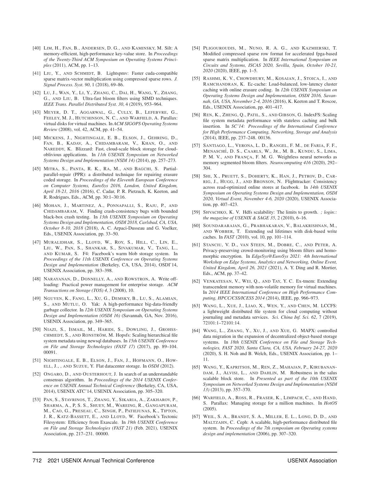- [40] LIM, H., FAN, B., ANDERSEN, D. G., AND KAMINSKY, M. Silt: A memory-efficient, high-performance key-value store. In *Proceedings of the Twenty-Third ACM Symposium on Operating Systems Principles* (2011), ACM, pp. 1–13.
- [41] LIU, Y., AND SCHMIDT, B. Lightspmv: Faster cuda-compatible sparse matrix-vector multiplication using compressed sparse rows. *J. Signal Process. Syst. 90*, 1 (2018), 69–86.
- [42] LU, J., WAN, Y., LI, Y., ZHANG, C., DAI, H., WANG, Y., ZHANG, G., AND LIU, B. Ultra-fast bloom filters using SIMD techniques. *IEEE Trans. Parallel Distributed Syst. 30*, 4 (2019), 953–964.
- [43] MEYER, D. T., AGGARWAL, G., CULLY, B., LEFEBVRE, G., FEELEY, M. J., HUTCHINSON, N. C., AND WARFIELD, A. Parallax: virtual disks for virtual machines. In *ACM SIGOPS Operating Systems Review* (2008), vol. 42, ACM, pp. 41–54.
- [44] MICKENS, J., NIGHTINGALE, E. B., ELSON, J., GEHRING, D., FAN, B., KADAV, A., CHIDAMBARAM, V., KHAN, O., AND NAREDDY, K. Blizzard: Fast, cloud-scale block storage for cloudoblivious applications. In *11th USENIX Symposium on Networked Systems Design and Implementation (NSDI 14)* (2014), pp. 257–273.
- [45] MITRA, S., PANTA, R. K., RA, M., AND BAGCHI, S. Partialparallel-repair (PPR): a distributed technique for repairing erasure coded storage. In *Proceedings of the Eleventh European Conference on Computer Systems, EuroSys 2016, London, United Kingdom, April 18-21, 2016* (2016), C. Cadar, P. R. Pietzuch, K. Keeton, and R. Rodrigues, Eds., ACM, pp. 30:1–30:16.
- [46] MOHAN, J., MARTINEZ, A., PONNAPALLI, S., RAJU, P., AND CHIDAMBARAM, V. Finding crash-consistency bugs with bounded black-box crash testing. In *13th USENIX Symposium on Operating Systems Design and Implementation, OSDI 2018, Carlsbad, CA, USA, October 8-10, 2018* (2018), A. C. Arpaci-Dusseau and G. Voelker, Eds., USENIX Association, pp. 33–50.
- [47] MURALIDHAR, S., LLOYD, W., ROY, S., HILL, C., LIN, E., LIU, W., PAN, S., SHANKAR, S., SIVAKUMAR, V., TANG, L., AND KUMAR, S. F4: Facebook's warm blob storage system. In *Proceedings of the 11th USENIX Conference on Operating Systems Design and Implementation* (Berkeley, CA, USA, 2014), OSDI'14, USENIX Association, pp. 383–398.
- [48] NARAYANAN, D., DONNELLY, A., AND ROWSTRON, A. Write offloading: Practical power management for enterprise storage. *ACM Transactions on Storage (TOS) 4*, 3 (2008), 10.
- [49] NGUYEN, K., FANG, L., XU, G., DEMSKY, B., LU, S., ALAMIAN, S., AND MUTLU, O. Yak: A high-performance big-data-friendly garbage collector. In *12th USENIX Symposium on Operating Systems Design and Implementation (OSDI 16)* (Savannah, GA, Nov. 2016), USENIX Association, pp. 349–365.
- [50] NIAZI, S., ISMAIL, M., HARIDI, S., DOWLING, J., GROHSS-CHMIEDT, S., AND RONSTRÖM, M. Hopsfs: Scaling hierarchical file system metadata using newsql databases. In *15th USENIX Conference on File and Storage Technologies (FAST 17)* (2017), pp. 89–104. 00091.
- [51] NIGHTINGALE, E. B., ELSON, J., FAN, J., HOFMANN, O., HOW-ELL, J., , AND SUZUE, Y. Flat datacenter storage. In *OSDI* (2012).
- [52] ONGARO, D., AND OUSTERHOUT, J. In search of an understandable consensus algorithm. In *Proceedings of the 2014 USENIX Conference on USENIX Annual Technical Conference* (Berkeley, CA, USA, 2014), USENIX ATC'14, USENIX Association, pp. 305–320.
- [53] PAN, S., STAVRINOS, T., ZHANG, Y., SIKARIA, A., ZAKHAROV, P., SHARMA, A., P, S. S., SHUEY, M., WAREING, R., GANGAPURAM, M., CAO, G., PRESEAU, C., SINGH, P., PATIEJUNAS, K., TIPTON, J. R., KATZ-BASSETT, E., AND LLOYD, W. Facebook's Tectonic Filesystem: Efficiency from Exascale. In *19th USENIX Conference on File and Storage Technologies (FAST 21)* (Feb. 2021), USENIX Association, pp. 217–231. 00000.
- [54] PLIGOUROUDIS, M., NUNO, R. A. G., AND KAZMIERSKI, T. Modified compressed sparse row format for accelerated fpga-based sparse matrix multiplication. In *IEEE International Symposium on Circuits and Systems, ISCAS 2020, Sevilla, Spain, October 10-21, 2020* (2020), IEEE, pp. 1–5.
- [55] RASHMI, K. V., CHOWDHURY, M., KOSAIAN, J., STOICA, I., AND RAMCHANDRAN, K. Ec-cache: Load-balanced, low-latency cluster caching with online erasure coding. In *12th USENIX Symposium on Operating Systems Design and Implementation, OSDI 2016, Savannah, GA, USA, November 2-4, 2016* (2016), K. Keeton and T. Roscoe, Eds., USENIX Association, pp. 401–417.
- [56] REN, K., ZHENG, Q., PATIL, S., AND GIBSON, G. IndexFS: Scaling file system metadata performance with stateless caching and bulk insertion. In *SC'14: Proceedings of the International Conference for High Performance Computing, Networking, Storage and Analysis* (2014), IEEE, pp. 237–248. 00136.
- [57] SANTIAGO, L., VERONA, L. D., RANGEL, F. M., DE FARIA, F. F., MENASCHE´, D. S., CAARLS, W., JR., M. B., KUNDU, S., LIMA, P. M. V., AND FRANÇA, F. M. G. Weightless neural networks as memory segmented bloom filters. *Neurocomputing 416* (2020), 292– 304.
- [58] SHI, X., PRUETT, S., DOHERTY, K., HAN, J., PETROV, D., CAR-RIG, J., HUGG, J., AND BRONSON, N. Flighttracker: Consistency across read-optimized online stores at facebook. In *14th USENIX Symposium on Operating Systems Design and Implementation, OSDI 2020, Virtual Event, November 4-6, 2020* (2020), USENIX Association, pp. 407–423.
- [59] SHVACHKO, K. V. Hdfs scalability: The limits to growth. *; login:: the magazine of USENIX & SAGE 35*, 2 (2010), 6–16.
- [60] SOUNDARARAJAN, G., PRABHAKARAN, V., BALAKRISHNAN, M., AND WOBBER, T. Extending ssd lifetimes with disk-based write caches. In *FAST* (2010), vol. 10, pp. 101–114.
- [61] STANCIU, V. D., VAN STEEN, M., DOBRE, C., AND PETER, A. Privacy-preserving crowd-monitoring using bloom filters and homomorphic encryption. In *EdgeSys@EuroSys 2021: 4th International Workshop on Edge Systems, Analytics and Networking, Online Event, United Kingdom, April 26, 2021* (2021), A. Y. Ding and R. Mortier, Eds., ACM, pp. 37–42.
- [62] VENKATESAN, V., WEI, Q., AND TAY, Y. C. Ex-tmem: Extending transcendent memory with non-volatile memory for virtual machines. In *2014 IEEE International Conference on High Performance Computing, HPCC/CSS/ICESS 2014* (2014), IEEE, pp. 966–973.
- [63] WANG, L., XUE, J., LIAO, X., WEN, Y., AND CHEN, M. LCCFS: a lightweight distributed file system for cloud computing without journaling and metadata services. *Sci. China Inf. Sci. 62*, 7 (2019), 72101:1–72101:14.
- [64] WANG, L., ZHANG, Y., XU, J., AND XUE, G. MAPX: controlled data migration in the expansion of decentralized object-based storage systems. In *18th USENIX Conference on File and Storage Technologies, FAST 2020, Santa Clara, CA, USA, February 24-27, 2020* (2020), S. H. Noh and B. Welch, Eds., USENIX Association, pp. 1– 11.
- [65] WANG, Y., KAPRITSOS, M., REN, Z., MAHAJAN, P., KIRUBANAN-DAM, J., ALVISI, L., AND DAHLIN, M. Robustness in the salus scalable block store. In *Presented as part of the 10th USENIX Symposium on Networked Systems Design and Implementation (NSDI 13)* (2013), pp. 357–370.
- [66] WARFIELD, A., ROSS, R., FRASER, K., LIMPACH, C., AND HAND, S. Parallax: Managing storage for a million machines. In *HotOS* (2005).
- [67] WEIL, S. A., BRANDT, S. A., MILLER, E. L., LONG, D. D., AND MALTZAHN, C. Ceph: A scalable, high-performance distributed file system. In *Proceedings of the 7th symposium on Operating systems design and implementation* (2006), pp. 307–320.